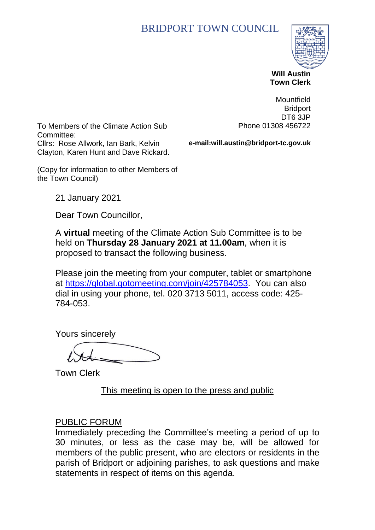# BRIDPORT TOWN COUNCIL



 **Will Austin Town Clerk**

**Mountfield** 

To Members of the Climate Action Sub Committee: Cllrs: Rose Allwork, Ian Bark, Kelvin Clayton, Karen Hunt and Dave Rickard.

**Bridport** DT6 3JP Phone 01308 456722

(Copy for information to other Members of the Town Council)

**e-mail:will.austin@bridport-tc.gov.uk**

21 January 2021

Dear Town Councillor,

A **virtual** meeting of the Climate Action Sub Committee is to be held on **Thursday 28 January 2021 at 11.00am**, when it is proposed to transact the following business.

Please join the meeting from your computer, tablet or smartphone at [https://global.gotomeeting.com/join/425784053.](https://global.gotomeeting.com/join/425784053) You can also dial in using your phone, tel. 020 3713 5011, access code: 425- 784-053.

Yours sincerely

Town Clerk

This meeting is open to the press and public

#### PUBLIC FORUM

Immediately preceding the Committee's meeting a period of up to 30 minutes, or less as the case may be, will be allowed for members of the public present, who are electors or residents in the parish of Bridport or adjoining parishes, to ask questions and make statements in respect of items on this agenda.